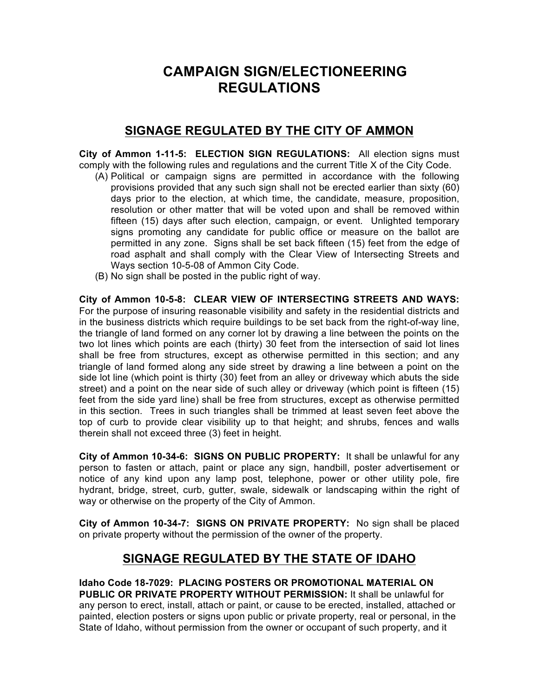# **CAMPAIGN SIGN/ELECTIONEERING REGULATIONS**

## **SIGNAGE REGULATED BY THE CITY OF AMMON**

**City of Ammon 1-11-5: ELECTION SIGN REGULATIONS:** All election signs must comply with the following rules and regulations and the current Title X of the City Code.

- (A) Political or campaign signs are permitted in accordance with the following provisions provided that any such sign shall not be erected earlier than sixty (60) days prior to the election, at which time, the candidate, measure, proposition, resolution or other matter that will be voted upon and shall be removed within fifteen (15) days after such election, campaign, or event. Unlighted temporary signs promoting any candidate for public office or measure on the ballot are permitted in any zone. Signs shall be set back fifteen (15) feet from the edge of road asphalt and shall comply with the Clear View of Intersecting Streets and Ways section 10-5-08 of Ammon City Code.
- (B) No sign shall be posted in the public right of way.

**City of Ammon 10-5-8: CLEAR VIEW OF INTERSECTING STREETS AND WAYS:** For the purpose of insuring reasonable visibility and safety in the residential districts and in the business districts which require buildings to be set back from the right-of-way line, the triangle of land formed on any corner lot by drawing a line between the points on the two lot lines which points are each (thirty) 30 feet from the intersection of said lot lines shall be free from structures, except as otherwise permitted in this section; and any triangle of land formed along any side street by drawing a line between a point on the side lot line (which point is thirty (30) feet from an alley or driveway which abuts the side street) and a point on the near side of such alley or driveway (which point is fifteen (15) feet from the side yard line) shall be free from structures, except as otherwise permitted in this section. Trees in such triangles shall be trimmed at least seven feet above the top of curb to provide clear visibility up to that height; and shrubs, fences and walls therein shall not exceed three (3) feet in height.

**City of Ammon 10-34-6: SIGNS ON PUBLIC PROPERTY:** It shall be unlawful for any person to fasten or attach, paint or place any sign, handbill, poster advertisement or notice of any kind upon any lamp post, telephone, power or other utility pole, fire hydrant, bridge, street, curb, gutter, swale, sidewalk or landscaping within the right of way or otherwise on the property of the City of Ammon.

**City of Ammon 10-34-7: SIGNS ON PRIVATE PROPERTY:** No sign shall be placed on private property without the permission of the owner of the property.

## **SIGNAGE REGULATED BY THE STATE OF IDAHO**

**Idaho Code 18-7029: PLACING POSTERS OR PROMOTIONAL MATERIAL ON PUBLIC OR PRIVATE PROPERTY WITHOUT PERMISSION:** It shall be unlawful for any person to erect, install, attach or paint, or cause to be erected, installed, attached or painted, election posters or signs upon public or private property, real or personal, in the State of Idaho, without permission from the owner or occupant of such property, and it